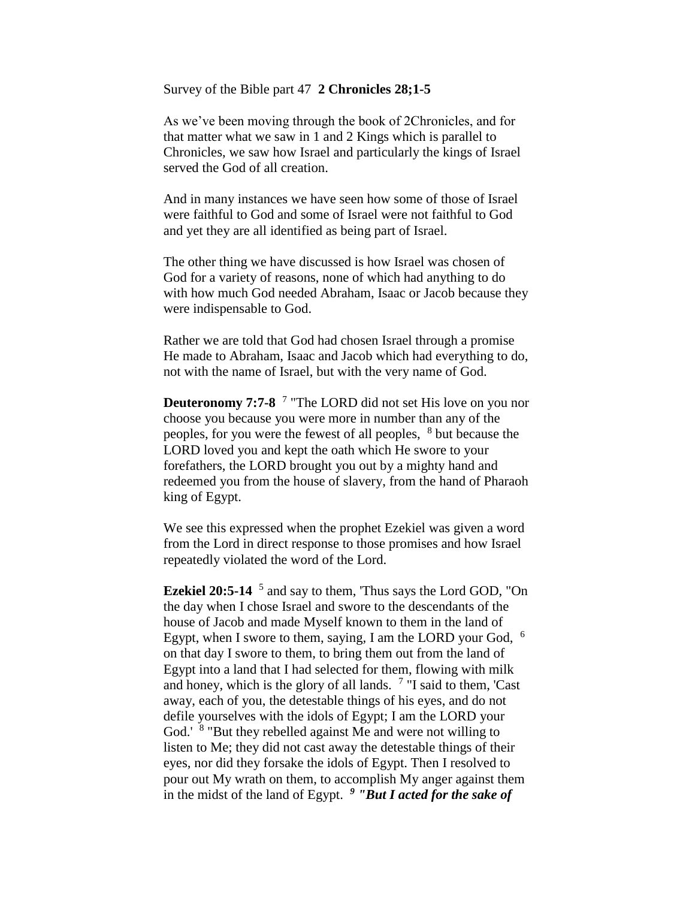Survey of the Bible part 47 **2 Chronicles 28;1-5** 

As we've been moving through the book of 2Chronicles, and for that matter what we saw in 1 and 2 Kings which is parallel to Chronicles, we saw how Israel and particularly the kings of Israel served the God of all creation.

And in many instances we have seen how some of those of Israel were faithful to God and some of Israel were not faithful to God and yet they are all identified as being part of Israel.

The other thing we have discussed is how Israel was chosen of God for a variety of reasons, none of which had anything to do with how much God needed Abraham, Isaac or Jacob because they were indispensable to God.

Rather we are told that God had chosen Israel through a promise He made to Abraham, Isaac and Jacob which had everything to do, not with the name of Israel, but with the very name of God.

**Deuteronomy 7:7-8** <sup>7</sup> "The LORD did not set His love on you nor choose you because you were more in number than any of the peoples, for you were the fewest of all peoples, <sup>8</sup> but because the LORD loved you and kept the oath which He swore to your forefathers, the LORD brought you out by a mighty hand and redeemed you from the house of slavery, from the hand of Pharaoh king of Egypt.

We see this expressed when the prophet Ezekiel was given a word from the Lord in direct response to those promises and how Israel repeatedly violated the word of the Lord.

**Ezekiel 20:5-14** <sup>5</sup> and say to them, 'Thus says the Lord GOD, "On the day when I chose Israel and swore to the descendants of the house of Jacob and made Myself known to them in the land of Egypt, when I swore to them, saying, I am the LORD your God, <sup>6</sup> on that day I swore to them, to bring them out from the land of Egypt into a land that I had selected for them, flowing with milk and honey, which is the glory of all lands.  $7$  "I said to them, 'Cast away, each of you, the detestable things of his eyes, and do not defile yourselves with the idols of Egypt; I am the LORD your God.' <sup>8</sup> "But they rebelled against Me and were not willing to listen to Me; they did not cast away the detestable things of their eyes, nor did they forsake the idols of Egypt. Then I resolved to pour out My wrath on them, to accomplish My anger against them in the midst of the land of Egypt. *<sup>9</sup> "But I acted for the sake of*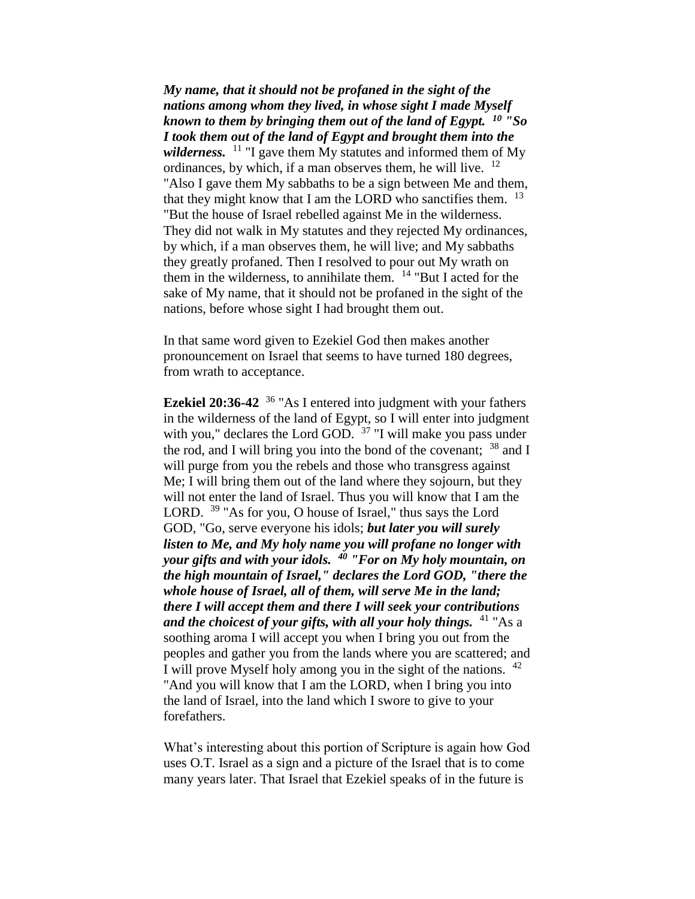*My name, that it should not be profaned in the sight of the nations among whom they lived, in whose sight I made Myself known to them by bringing them out of the land of Egypt. <sup>10</sup> "So I took them out of the land of Egypt and brought them into the wilderness.* <sup>11</sup> "I gave them My statutes and informed them of My ordinances, by which, if a man observes them, he will live.  $12$ "Also I gave them My sabbaths to be a sign between Me and them, that they might know that I am the LORD who sanctifies them.  $^{13}$ "But the house of Israel rebelled against Me in the wilderness. They did not walk in My statutes and they rejected My ordinances, by which, if a man observes them, he will live; and My sabbaths they greatly profaned. Then I resolved to pour out My wrath on them in the wilderness, to annihilate them.  $14$  "But I acted for the sake of My name, that it should not be profaned in the sight of the nations, before whose sight I had brought them out.

In that same word given to Ezekiel God then makes another pronouncement on Israel that seems to have turned 180 degrees, from wrath to acceptance.

**Ezekiel 20:36-42** <sup>36</sup> "As I entered into judgment with your fathers in the wilderness of the land of Egypt, so I will enter into judgment with you," declares the Lord GOD.  $37$  "I will make you pass under the rod, and I will bring you into the bond of the covenant;  $38$  and I will purge from you the rebels and those who transgress against Me; I will bring them out of the land where they sojourn, but they will not enter the land of Israel. Thus you will know that I am the LORD. <sup>39</sup> "As for you, O house of Israel," thus says the Lord GOD, "Go, serve everyone his idols; *but later you will surely listen to Me, and My holy name you will profane no longer with your gifts and with your idols. <sup>40</sup> "For on My holy mountain, on the high mountain of Israel," declares the Lord GOD, "there the whole house of Israel, all of them, will serve Me in the land; there I will accept them and there I will seek your contributions and the choicest of your gifts, with all your holy things.* <sup>41</sup> "As a soothing aroma I will accept you when I bring you out from the peoples and gather you from the lands where you are scattered; and I will prove Myself holy among you in the sight of the nations. <sup>42</sup> "And you will know that I am the LORD, when I bring you into the land of Israel, into the land which I swore to give to your forefathers.

What's interesting about this portion of Scripture is again how God uses O.T. Israel as a sign and a picture of the Israel that is to come many years later. That Israel that Ezekiel speaks of in the future is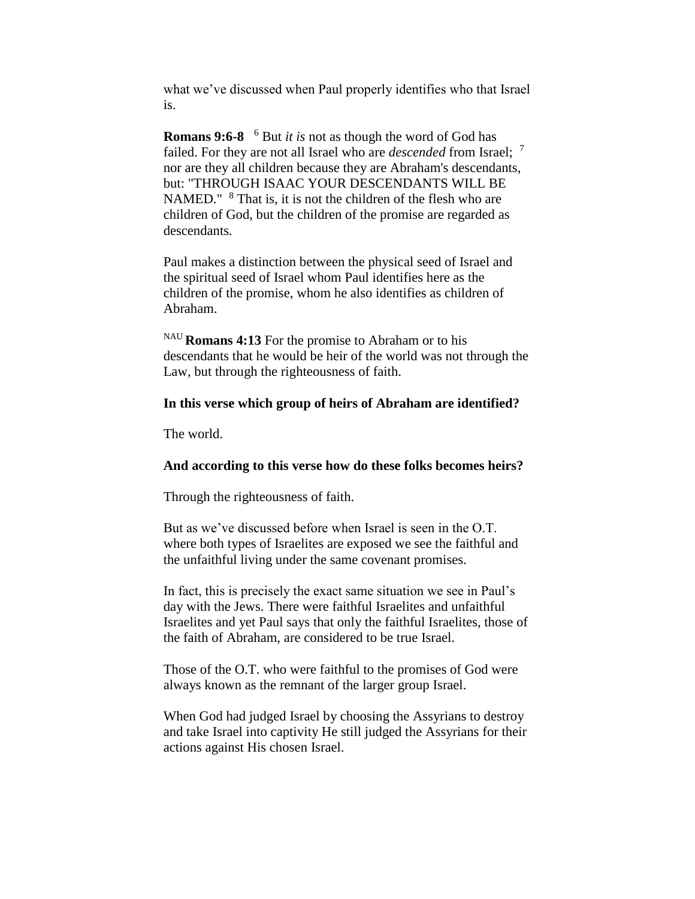what we've discussed when Paul properly identifies who that Israel is.

**Romans 9:6-8** <sup>6</sup> But *it is* not as though the word of God has failed. For they are not all Israel who are *descended* from Israel; <sup>7</sup> nor are they all children because they are Abraham's descendants, but: "THROUGH ISAAC YOUR DESCENDANTS WILL BE NAMED." <sup>8</sup> That is, it is not the children of the flesh who are children of God, but the children of the promise are regarded as descendants.

Paul makes a distinction between the physical seed of Israel and the spiritual seed of Israel whom Paul identifies here as the children of the promise, whom he also identifies as children of Abraham.

NAU **Romans 4:13** For the promise to Abraham or to his descendants that he would be heir of the world was not through the Law, but through the righteousness of faith.

### **In this verse which group of heirs of Abraham are identified?**

The world.

# **And according to this verse how do these folks becomes heirs?**

Through the righteousness of faith.

But as we've discussed before when Israel is seen in the O.T. where both types of Israelites are exposed we see the faithful and the unfaithful living under the same covenant promises.

In fact, this is precisely the exact same situation we see in Paul's day with the Jews. There were faithful Israelites and unfaithful Israelites and yet Paul says that only the faithful Israelites, those of the faith of Abraham, are considered to be true Israel.

Those of the O.T. who were faithful to the promises of God were always known as the remnant of the larger group Israel.

When God had judged Israel by choosing the Assyrians to destroy and take Israel into captivity He still judged the Assyrians for their actions against His chosen Israel.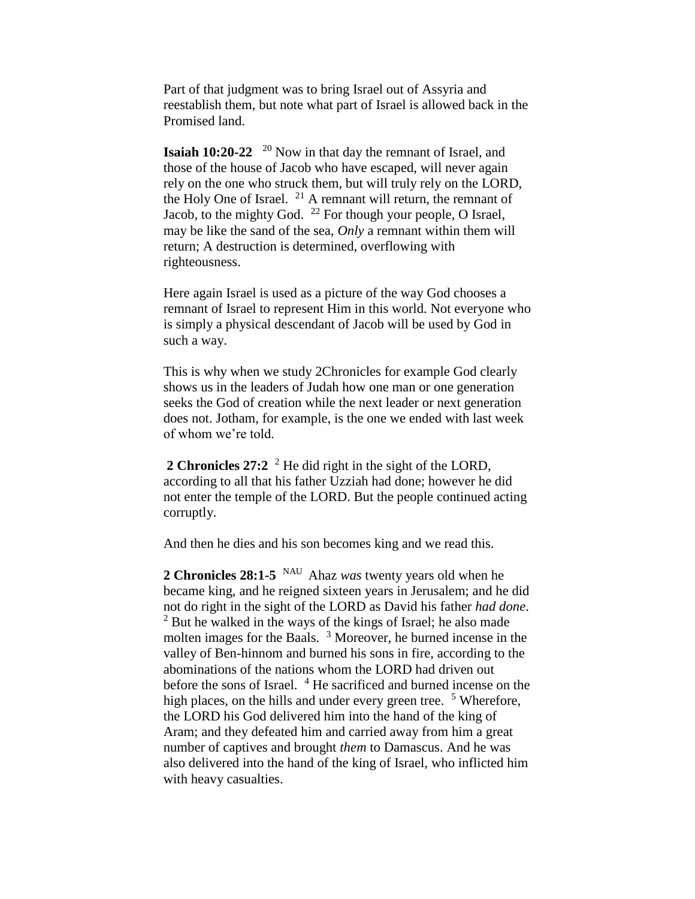Part of that judgment was to bring Israel out of Assyria and reestablish them, but note what part of Israel is allowed back in the Promised land.

**Isaiah 10:20-22** <sup>20</sup> Now in that day the remnant of Israel, and those of the house of Jacob who have escaped, will never again rely on the one who struck them, but will truly rely on the LORD, the Holy One of Israel. <sup>21</sup> A remnant will return, the remnant of Jacob, to the mighty God.  $^{22}$  For though your people, O Israel, may be like the sand of the sea, *Only* a remnant within them will return; A destruction is determined, overflowing with righteousness.

Here again Israel is used as a picture of the way God chooses a remnant of Israel to represent Him in this world. Not everyone who is simply a physical descendant of Jacob will be used by God in such a way.

This is why when we study 2Chronicles for example God clearly shows us in the leaders of Judah how one man or one generation seeks the God of creation while the next leader or next generation does not. Jotham, for example, is the one we ended with last week of whom we're told.

**2 Chronicles 27:2** <sup>2</sup> He did right in the sight of the LORD, according to all that his father Uzziah had done; however he did not enter the temple of the LORD. But the people continued acting corruptly.

And then he dies and his son becomes king and we read this.

**2 Chronicles 28:1-5** NAU Ahaz *was* twenty years old when he became king, and he reigned sixteen years in Jerusalem; and he did not do right in the sight of the LORD as David his father *had done*. <sup>2</sup> But he walked in the ways of the kings of Israel; he also made molten images for the Baals. <sup>3</sup> Moreover, he burned incense in the valley of Ben-hinnom and burned his sons in fire, according to the abominations of the nations whom the LORD had driven out before the sons of Israel. <sup>4</sup> He sacrificed and burned incense on the high places, on the hills and under every green tree.  $5$  Wherefore, the LORD his God delivered him into the hand of the king of Aram; and they defeated him and carried away from him a great number of captives and brought *them* to Damascus. And he was also delivered into the hand of the king of Israel, who inflicted him with heavy casualties.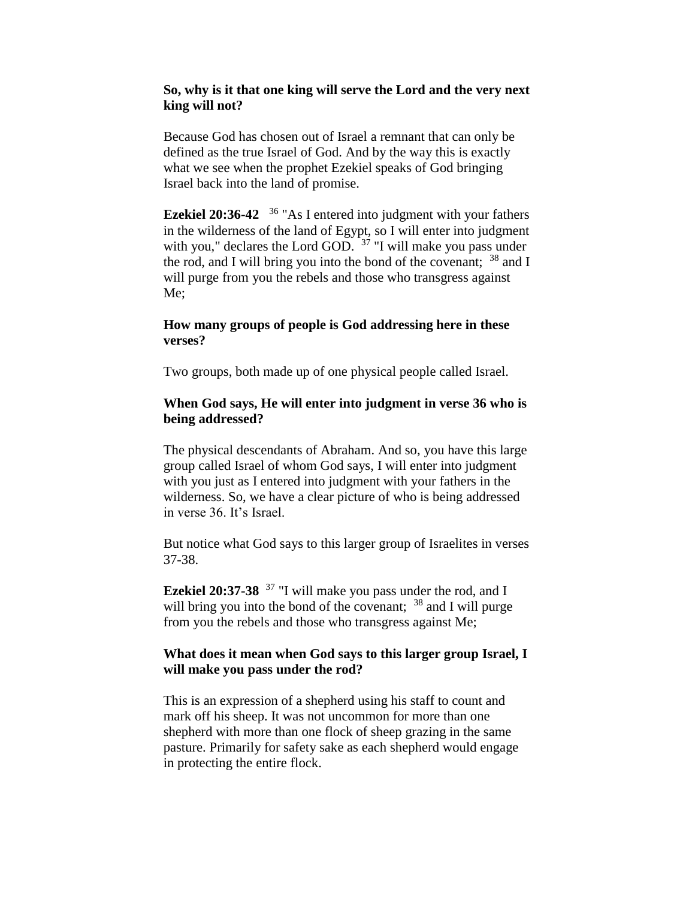## **So, why is it that one king will serve the Lord and the very next king will not?**

Because God has chosen out of Israel a remnant that can only be defined as the true Israel of God. And by the way this is exactly what we see when the prophet Ezekiel speaks of God bringing Israel back into the land of promise.

**Ezekiel 20:36-42**  <sup>36</sup> "As I entered into judgment with your fathers in the wilderness of the land of Egypt, so I will enter into judgment with you," declares the Lord GOD.  $37$  "I will make you pass under the rod, and I will bring you into the bond of the covenant;  $38$  and I will purge from you the rebels and those who transgress against Me;

## **How many groups of people is God addressing here in these verses?**

Two groups, both made up of one physical people called Israel.

### **When God says, He will enter into judgment in verse 36 who is being addressed?**

The physical descendants of Abraham. And so, you have this large group called Israel of whom God says, I will enter into judgment with you just as I entered into judgment with your fathers in the wilderness. So, we have a clear picture of who is being addressed in verse 36. It's Israel.

But notice what God says to this larger group of Israelites in verses 37-38.

**Ezekiel 20:37-38** <sup>37</sup> "I will make you pass under the rod, and I will bring you into the bond of the covenant; <sup>38</sup> and I will purge from you the rebels and those who transgress against Me;

# **What does it mean when God says to this larger group Israel, I will make you pass under the rod?**

This is an expression of a shepherd using his staff to count and mark off his sheep. It was not uncommon for more than one shepherd with more than one flock of sheep grazing in the same pasture. Primarily for safety sake as each shepherd would engage in protecting the entire flock.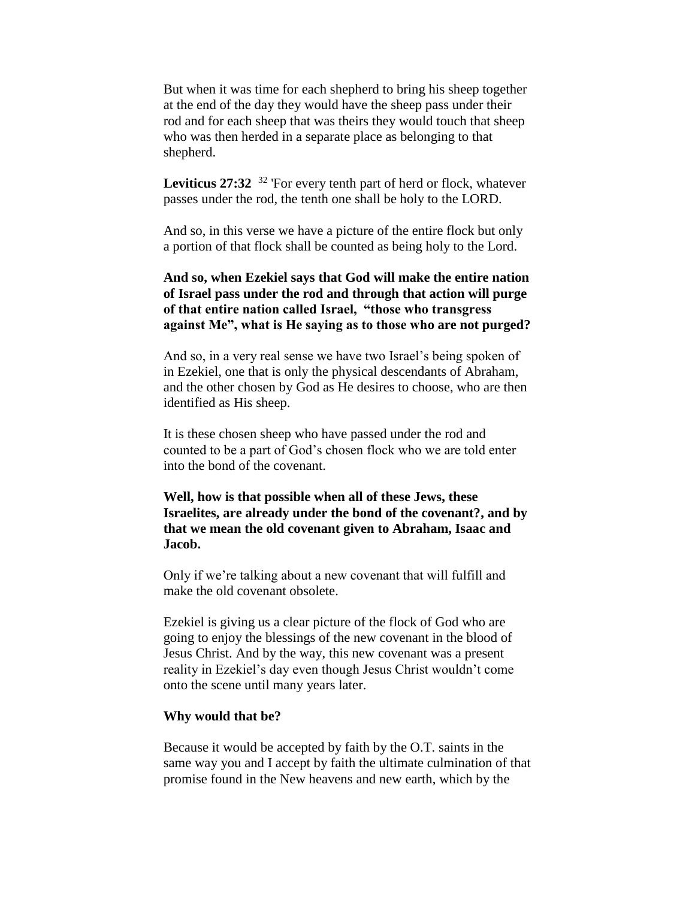But when it was time for each shepherd to bring his sheep together at the end of the day they would have the sheep pass under their rod and for each sheep that was theirs they would touch that sheep who was then herded in a separate place as belonging to that shepherd.

Leviticus 27:32<sup>32</sup> 'For every tenth part of herd or flock, whatever passes under the rod, the tenth one shall be holy to the LORD.

And so, in this verse we have a picture of the entire flock but only a portion of that flock shall be counted as being holy to the Lord.

# **And so, when Ezekiel says that God will make the entire nation of Israel pass under the rod and through that action will purge of that entire nation called Israel, "those who transgress against Me", what is He saying as to those who are not purged?**

And so, in a very real sense we have two Israel's being spoken of in Ezekiel, one that is only the physical descendants of Abraham, and the other chosen by God as He desires to choose, who are then identified as His sheep.

It is these chosen sheep who have passed under the rod and counted to be a part of God's chosen flock who we are told enter into the bond of the covenant.

**Well, how is that possible when all of these Jews, these Israelites, are already under the bond of the covenant?, and by that we mean the old covenant given to Abraham, Isaac and Jacob.**

Only if we're talking about a new covenant that will fulfill and make the old covenant obsolete.

Ezekiel is giving us a clear picture of the flock of God who are going to enjoy the blessings of the new covenant in the blood of Jesus Christ. And by the way, this new covenant was a present reality in Ezekiel's day even though Jesus Christ wouldn't come onto the scene until many years later.

#### **Why would that be?**

Because it would be accepted by faith by the O.T. saints in the same way you and I accept by faith the ultimate culmination of that promise found in the New heavens and new earth, which by the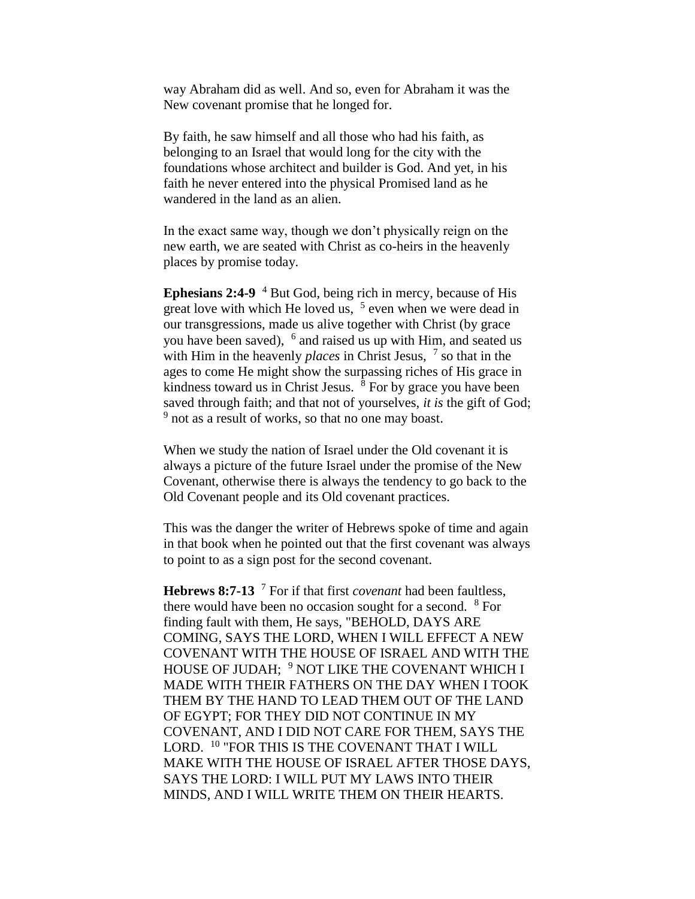way Abraham did as well. And so, even for Abraham it was the New covenant promise that he longed for.

By faith, he saw himself and all those who had his faith, as belonging to an Israel that would long for the city with the foundations whose architect and builder is God. And yet, in his faith he never entered into the physical Promised land as he wandered in the land as an alien.

In the exact same way, though we don't physically reign on the new earth, we are seated with Christ as co-heirs in the heavenly places by promise today.

**Ephesians 2:4-9** <sup>4</sup> But God, being rich in mercy, because of His great love with which He loved us,  $5$  even when we were dead in our transgressions, made us alive together with Christ (by grace you have been saved), <sup>6</sup> and raised us up with Him, and seated us with Him in the heavenly *places* in Christ Jesus,  $\frac{7}{1}$  so that in the ages to come He might show the surpassing riches of His grace in kindness toward us in Christ Jesus.  $\frac{8}{3}$  For by grace you have been saved through faith; and that not of yourselves, *it is* the gift of God; <sup>9</sup> not as a result of works, so that no one may boast.

When we study the nation of Israel under the Old covenant it is always a picture of the future Israel under the promise of the New Covenant, otherwise there is always the tendency to go back to the Old Covenant people and its Old covenant practices.

This was the danger the writer of Hebrews spoke of time and again in that book when he pointed out that the first covenant was always to point to as a sign post for the second covenant.

**Hebrews 8:7-13** <sup>7</sup> For if that first *covenant* had been faultless, there would have been no occasion sought for a second.  $8$  For finding fault with them, He says, "BEHOLD, DAYS ARE COMING, SAYS THE LORD, WHEN I WILL EFFECT A NEW COVENANT WITH THE HOUSE OF ISRAEL AND WITH THE HOUSE OF JUDAH; <sup>9</sup> NOT LIKE THE COVENANT WHICH I MADE WITH THEIR FATHERS ON THE DAY WHEN I TOOK THEM BY THE HAND TO LEAD THEM OUT OF THE LAND OF EGYPT; FOR THEY DID NOT CONTINUE IN MY COVENANT, AND I DID NOT CARE FOR THEM, SAYS THE LORD. <sup>10</sup> "FOR THIS IS THE COVENANT THAT I WILL MAKE WITH THE HOUSE OF ISRAEL AFTER THOSE DAYS, SAYS THE LORD: I WILL PUT MY LAWS INTO THEIR MINDS, AND I WILL WRITE THEM ON THEIR HEARTS.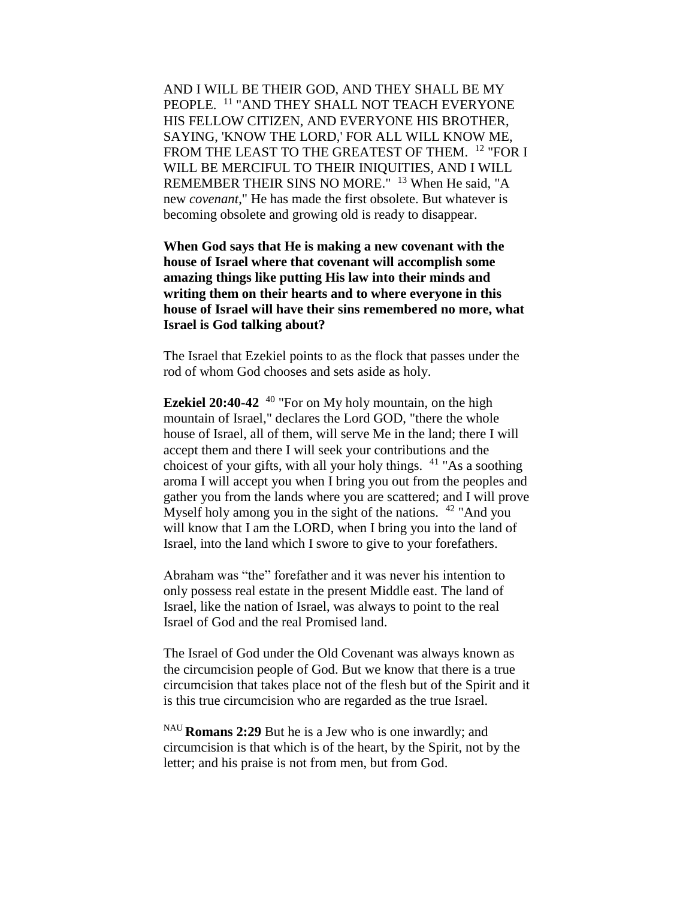AND I WILL BE THEIR GOD, AND THEY SHALL BE MY PEOPLE. <sup>11</sup> "AND THEY SHALL NOT TEACH EVERYONE HIS FELLOW CITIZEN, AND EVERYONE HIS BROTHER, SAYING, 'KNOW THE LORD,' FOR ALL WILL KNOW ME, FROM THE LEAST TO THE GREATEST OF THEM. <sup>12</sup> "FOR I WILL BE MERCIFUL TO THEIR INIQUITIES, AND I WILL REMEMBER THEIR SINS NO MORE." <sup>13</sup> When He said, "A new *covenant*," He has made the first obsolete. But whatever is becoming obsolete and growing old is ready to disappear.

**When God says that He is making a new covenant with the house of Israel where that covenant will accomplish some amazing things like putting His law into their minds and writing them on their hearts and to where everyone in this house of Israel will have their sins remembered no more, what Israel is God talking about?**

The Israel that Ezekiel points to as the flock that passes under the rod of whom God chooses and sets aside as holy.

**Ezekiel 20:40-42** <sup>40</sup> "For on My holy mountain, on the high mountain of Israel," declares the Lord GOD, "there the whole house of Israel, all of them, will serve Me in the land; there I will accept them and there I will seek your contributions and the choicest of your gifts, with all your holy things.  $41$  "As a soothing aroma I will accept you when I bring you out from the peoples and gather you from the lands where you are scattered; and I will prove Myself holy among you in the sight of the nations.  $42$  "And you will know that I am the LORD, when I bring you into the land of Israel, into the land which I swore to give to your forefathers.

Abraham was "the" forefather and it was never his intention to only possess real estate in the present Middle east. The land of Israel, like the nation of Israel, was always to point to the real Israel of God and the real Promised land.

The Israel of God under the Old Covenant was always known as the circumcision people of God. But we know that there is a true circumcision that takes place not of the flesh but of the Spirit and it is this true circumcision who are regarded as the true Israel.

NAU **Romans 2:29** But he is a Jew who is one inwardly; and circumcision is that which is of the heart, by the Spirit, not by the letter; and his praise is not from men, but from God.